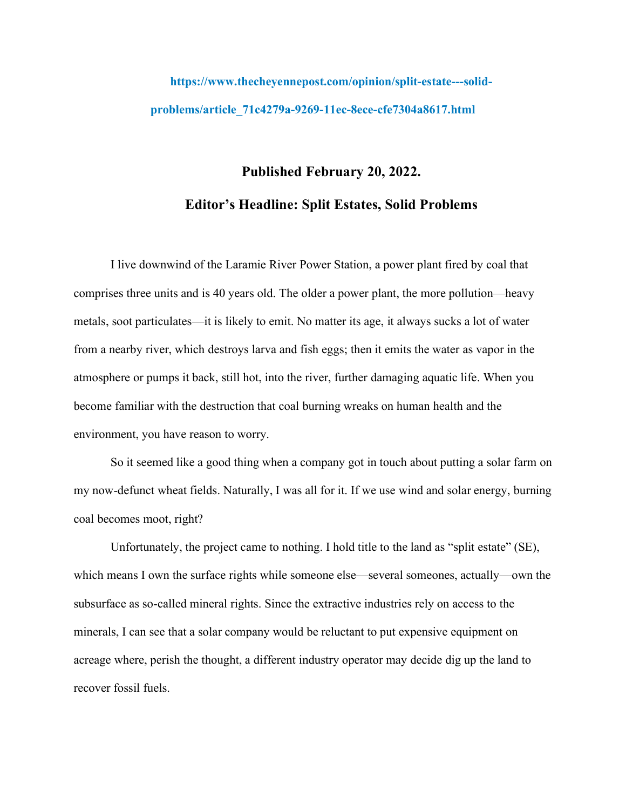## **https://www.thecheyennepost.com/opinion/split-estate---solidproblems/article\_71c4279a-9269-11ec-8ece-cfe7304a8617.html**

## **Published February 20, 2022. Editor's Headline: Split Estates, Solid Problems**

I live downwind of the Laramie River Power Station, a power plant fired by coal that comprises three units and is 40 years old. The older a power plant, the more pollution—heavy metals, soot particulates—it is likely to emit. No matter its age, it always sucks a lot of water from a nearby river, which destroys larva and fish eggs; then it emits the water as vapor in the atmosphere or pumps it back, still hot, into the river, further damaging aquatic life. When you become familiar with the destruction that coal burning wreaks on human health and the environment, you have reason to worry.

So it seemed like a good thing when a company got in touch about putting a solar farm on my now-defunct wheat fields. Naturally, I was all for it. If we use wind and solar energy, burning coal becomes moot, right?

Unfortunately, the project came to nothing. I hold title to the land as "split estate" (SE), which means I own the surface rights while someone else—several someones, actually—own the subsurface as so-called mineral rights. Since the extractive industries rely on access to the minerals, I can see that a solar company would be reluctant to put expensive equipment on acreage where, perish the thought, a different industry operator may decide dig up the land to recover fossil fuels.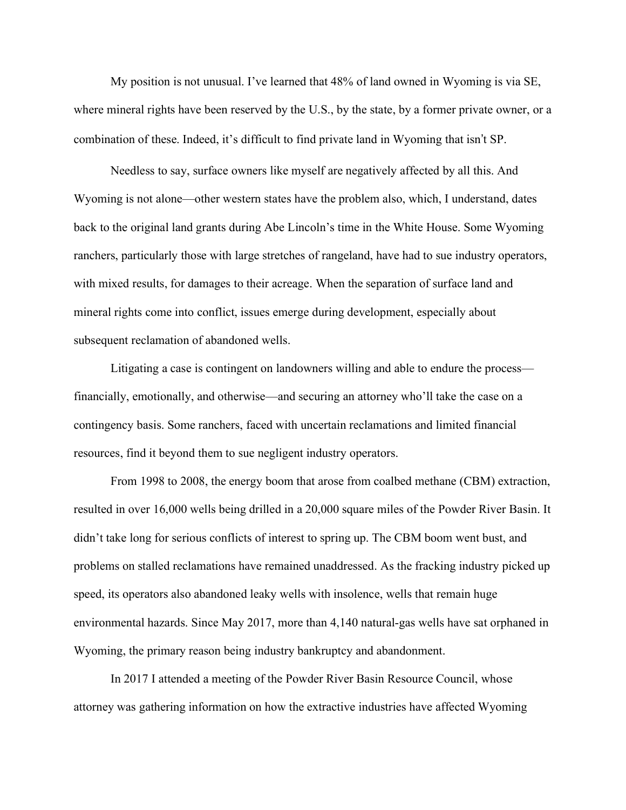My position is not unusual. I've learned that 48% of land owned in Wyoming is via SE, where mineral rights have been reserved by the U.S., by the state, by a former private owner, or a combination of these. Indeed, it's difficult to find private land in Wyoming that isn't SP.

Needless to say, surface owners like myself are negatively affected by all this. And Wyoming is not alone—other western states have the problem also, which, I understand, dates back to the original land grants during Abe Lincoln's time in the White House. Some Wyoming ranchers, particularly those with large stretches of rangeland, have had to sue industry operators, with mixed results, for damages to their acreage. When the separation of surface land and mineral rights come into conflict, issues emerge during development, especially about subsequent reclamation of abandoned wells.

Litigating a case is contingent on landowners willing and able to endure the process financially, emotionally, and otherwise—and securing an attorney who'll take the case on a contingency basis. Some ranchers, faced with uncertain reclamations and limited financial resources, find it beyond them to sue negligent industry operators.

From 1998 to 2008, the energy boom that arose from coalbed methane (CBM) extraction, resulted in over 16,000 wells being drilled in a 20,000 square miles of the Powder River Basin. It didn't take long for serious conflicts of interest to spring up. The CBM boom went bust, and problems on stalled reclamations have remained unaddressed. As the fracking industry picked up speed, its operators also abandoned leaky wells with insolence, wells that remain huge environmental hazards. Since May 2017, more than 4,140 natural-gas wells have sat orphaned in Wyoming, the primary reason being industry bankruptcy and abandonment.

In 2017 I attended a meeting of the Powder River Basin Resource Council, whose attorney was gathering information on how the extractive industries have affected Wyoming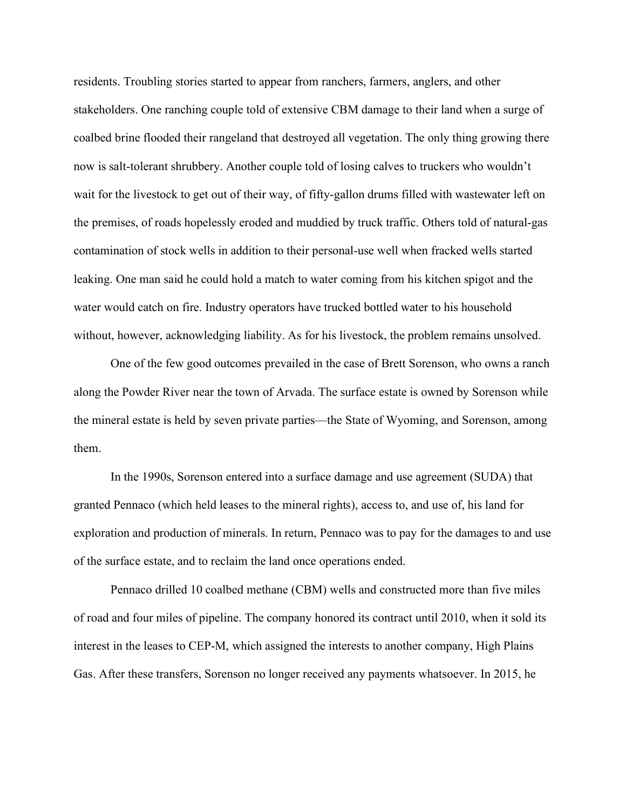residents. Troubling stories started to appear from ranchers, farmers, anglers, and other stakeholders. One ranching couple told of extensive CBM damage to their land when a surge of coalbed brine flooded their rangeland that destroyed all vegetation. The only thing growing there now is salt-tolerant shrubbery. Another couple told of losing calves to truckers who wouldn't wait for the livestock to get out of their way, of fifty-gallon drums filled with wastewater left on the premises, of roads hopelessly eroded and muddied by truck traffic. Others told of natural-gas contamination of stock wells in addition to their personal-use well when fracked wells started leaking. One man said he could hold a match to water coming from his kitchen spigot and the water would catch on fire. Industry operators have trucked bottled water to his household without, however, acknowledging liability. As for his livestock, the problem remains unsolved.

One of the few good outcomes prevailed in the case of Brett Sorenson, who owns a ranch along the Powder River near the town of Arvada. The surface estate is owned by Sorenson while the mineral estate is held by seven private parties—the State of Wyoming, and Sorenson, among them.

In the 1990s, Sorenson entered into a surface damage and use agreement (SUDA) that granted Pennaco (which held leases to the mineral rights), access to, and use of, his land for exploration and production of minerals. In return, Pennaco was to pay for the damages to and use of the surface estate, and to reclaim the land once operations ended.

Pennaco drilled 10 coalbed methane (CBM) wells and constructed more than five miles of road and four miles of pipeline. The company honored its contract until 2010, when it sold its interest in the leases to CEP-M, which assigned the interests to another company, High Plains Gas. After these transfers, Sorenson no longer received any payments whatsoever. In 2015, he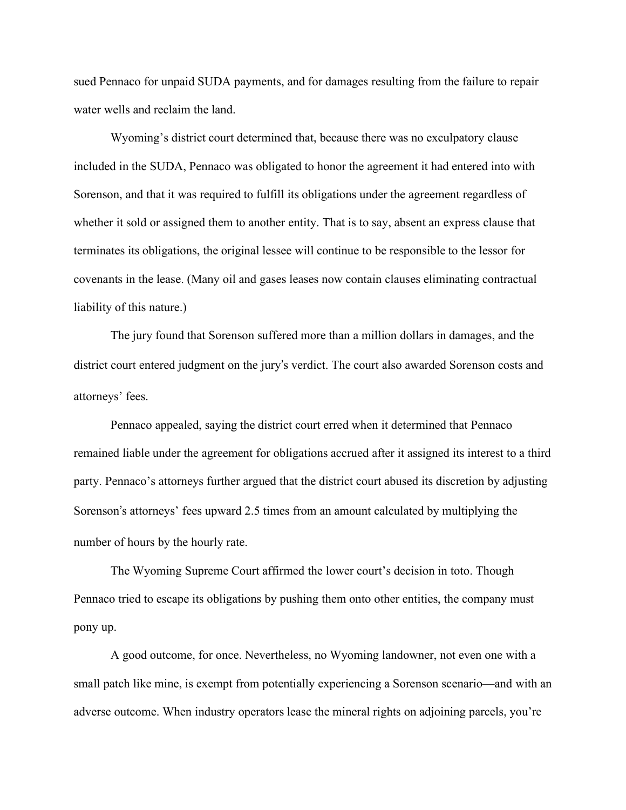sued Pennaco for unpaid SUDA payments, and for damages resulting from the failure to repair water wells and reclaim the land.

Wyoming's district court determined that, because there was no exculpatory clause included in the SUDA, Pennaco was obligated to honor the agreement it had entered into with Sorenson, and that it was required to fulfill its obligations under the agreement regardless of whether it sold or assigned them to another entity. That is to say, absent an express clause that terminates its obligations, the original lessee will continue to be responsible to the lessor for covenants in the lease. (Many oil and gases leases now contain clauses eliminating contractual liability of this nature.)

The jury found that Sorenson suffered more than a million dollars in damages, and the district court entered judgment on the jury's verdict. The court also awarded Sorenson costs and attorneys' fees.

Pennaco appealed, saying the district court erred when it determined that Pennaco remained liable under the agreement for obligations accrued after it assigned its interest to a third party. Pennaco's attorneys further argued that the district court abused its discretion by adjusting Sorenson's attorneys' fees upward 2.5 times from an amount calculated by multiplying the number of hours by the hourly rate.

The Wyoming Supreme Court affirmed the lower court's decision in toto. Though Pennaco tried to escape its obligations by pushing them onto other entities, the company must pony up.

A good outcome, for once. Nevertheless, no Wyoming landowner, not even one with a small patch like mine, is exempt from potentially experiencing a Sorenson scenario—and with an adverse outcome. When industry operators lease the mineral rights on adjoining parcels, you're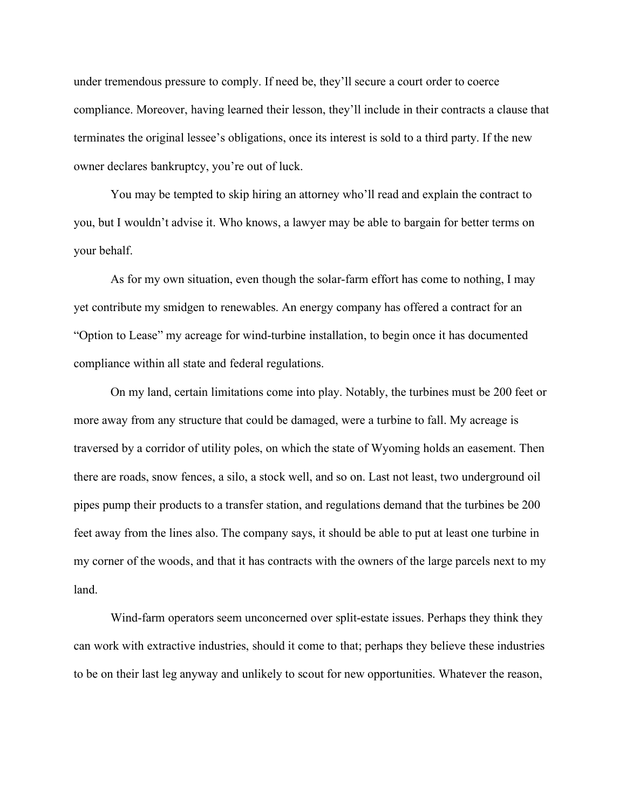under tremendous pressure to comply. If need be, they'll secure a court order to coerce compliance. Moreover, having learned their lesson, they'll include in their contracts a clause that terminates the original lessee's obligations, once its interest is sold to a third party. If the new owner declares bankruptcy, you're out of luck.

You may be tempted to skip hiring an attorney who'll read and explain the contract to you, but I wouldn't advise it. Who knows, a lawyer may be able to bargain for better terms on your behalf.

As for my own situation, even though the solar-farm effort has come to nothing, I may yet contribute my smidgen to renewables. An energy company has offered a contract for an "Option to Lease" my acreage for wind-turbine installation, to begin once it has documented compliance within all state and federal regulations.

On my land, certain limitations come into play. Notably, the turbines must be 200 feet or more away from any structure that could be damaged, were a turbine to fall. My acreage is traversed by a corridor of utility poles, on which the state of Wyoming holds an easement. Then there are roads, snow fences, a silo, a stock well, and so on. Last not least, two underground oil pipes pump their products to a transfer station, and regulations demand that the turbines be 200 feet away from the lines also. The company says, it should be able to put at least one turbine in my corner of the woods, and that it has contracts with the owners of the large parcels next to my land.

Wind-farm operators seem unconcerned over split-estate issues. Perhaps they think they can work with extractive industries, should it come to that; perhaps they believe these industries to be on their last leg anyway and unlikely to scout for new opportunities. Whatever the reason,